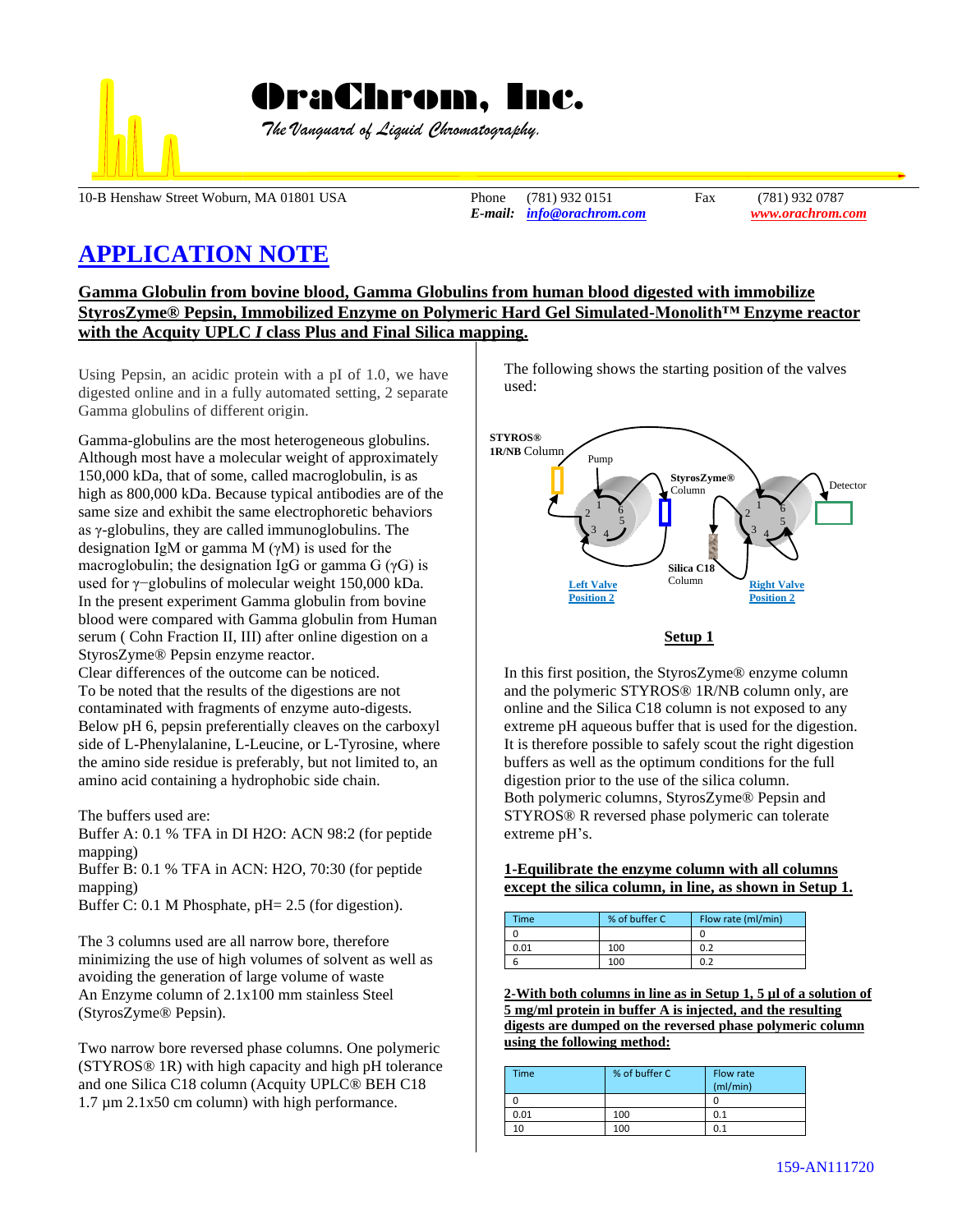

 *The Vanguard of Liquid Chromatography.*

10-B Henshaw Street Woburn, MA 01801 USA Phone (781) 932 0151 Fax (781) 932 0787

*E-mail: [info@orachrom.com](mailto:info@orachrom.com) www.orachrom.com*

# **APPLICATION NOTE**

**Gamma Globulin from bovine blood, Gamma Globulins from human blood digested with immobilize StyrosZyme® Pepsin, Immobilized Enzyme on Polymeric Hard Gel Simulated-Monolith™ Enzyme reactor with the Acquity UPLC** *I* **class Plus and Final Silica mapping.**

Using Pepsin, an acidic protein with a pI of 1.0, we have digested online and in a fully automated setting, 2 separate Gamma globulins of different origin.

Gamma-globulins are the most heterogeneous globulins. Although most have a [molecular weight](https://www.britannica.com/science/molecular-weight) of approximately 150,000 kDa, that of some, called macroglobulin, is as high as 800,000 kDa. Because typical antibodies are of the same size and exhibit the same electrophoretic behaviors as γ-globulins, they are called immunoglobulins. The [designation](https://www.merriam-webster.com/dictionary/designation) IgM or gamma M (γM) is used for the macroglobulin; the designation IgG or gamma G  $(\gamma G)$  is used for γ−globulins of molecular weight 150,000 kDa. In the present experiment Gamma globulin from bovine blood were compared with Gamma globulin from Human serum ( Cohn Fraction II, III) after online digestion on a StyrosZyme® Pepsin enzyme reactor.

Clear differences of the outcome can be noticed. To be noted that the results of the digestions are not contaminated with fragments of enzyme auto-digests. Below pH 6, pepsin preferentially cleaves on the carboxyl side of L-Phenylalanine, L-Leucine, or L-Tyrosine, where the amino side residue is preferably, but not limited to, an amino acid containing a hydrophobic side chain.

The buffers used are:

Buffer A: 0.1 % TFA in DI H2O: ACN 98:2 (for peptide mapping)

Buffer B: 0.1 % TFA in ACN: H2O, 70:30 (for peptide mapping)

Buffer C: 0.1 M Phosphate, pH= 2.5 (for digestion).

The 3 columns used are all narrow bore, therefore minimizing the use of high volumes of solvent as well as avoiding the generation of large volume of waste An Enzyme column of 2.1x100 mm stainless Steel (StyrosZyme® Pepsin).

Two narrow bore reversed phase columns. One polymeric (STYROS® 1R) with high capacity and high pH tolerance and one Silica C18 column (Acquity UPLC® BEH C18 1.7 µm 2.1x50 cm column) with high performance.

The following shows the starting position of the valves used:



## **Setup 1**

In this first position, the StyrosZyme® enzyme column and the polymeric STYROS® 1R/NB column only, are online and the Silica C18 column is not exposed to any extreme pH aqueous buffer that is used for the digestion. It is therefore possible to safely scout the right digestion buffers as well as the optimum conditions for the full digestion prior to the use of the silica column. Both polymeric columns, StyrosZyme® Pepsin and STYROS® R reversed phase polymeric can tolerate extreme pH's.

**1-Equilibrate the enzyme column with all columns except the silica column, in line, as shown in Setup 1.**

| Time | % of buffer C | Flow rate (ml/min) |
|------|---------------|--------------------|
|      |               |                    |
| 0.01 | 100           | 0.2                |
|      | 100           | 0.2                |

**2-With both columns in line as in Setup 1, 5 µl of a solution of 5 mg/ml protein in buffer A is injected, and the resulting digests are dumped on the reversed phase polymeric column using the following method:**

| Time | % of buffer C | Flow rate<br>(mI/min) |
|------|---------------|-----------------------|
|      |               |                       |
| 0.01 | 100           | 0.1                   |
| 10   | 100           | 0.1                   |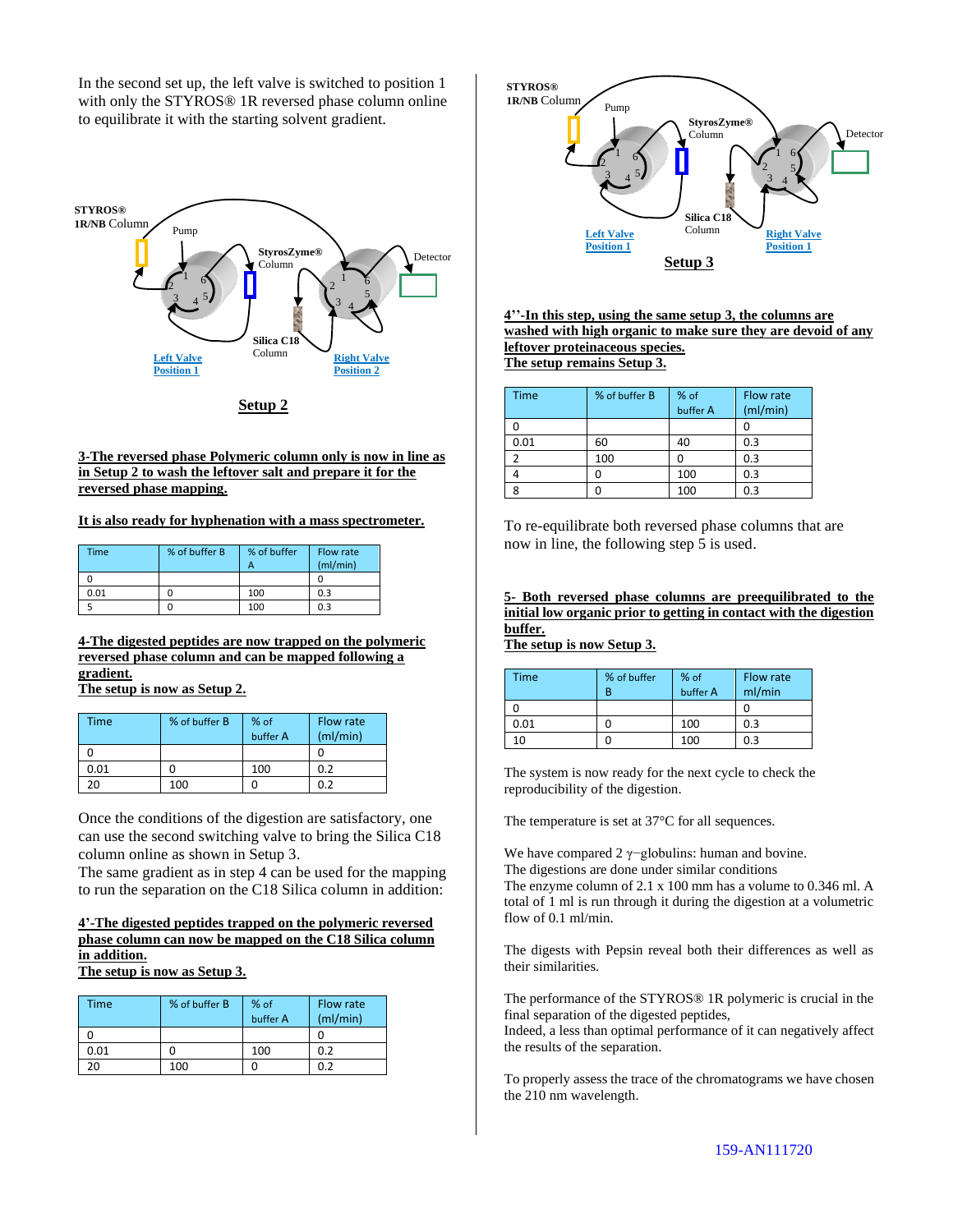In the second set up, the left valve is switched to position 1 with only the STYROS® 1R reversed phase column online to equilibrate it with the starting solvent gradient.



**Setup 2**

#### **3-The reversed phase Polymeric column only is now in line as in Setup 2 to wash the leftover salt and prepare it for the reversed phase mapping.**

#### **It is also ready for hyphenation with a mass spectrometer.**

| Time | % of buffer B | % of buffer<br>А | Flow rate<br>(mI/min) |
|------|---------------|------------------|-----------------------|
|      |               |                  |                       |
| 0.01 |               | 100              | 0.3                   |
|      |               | 100              | 0.3                   |

### **4-The digested peptides are now trapped on the polymeric reversed phase column and can be mapped following a gradient.**

**The setup is now as Setup 2.**

| <b>Time</b> | % of buffer B | % of<br>buffer A | Flow rate<br>(mI/min) |
|-------------|---------------|------------------|-----------------------|
|             |               |                  |                       |
| 0.01        |               | 100              | 0.2                   |
| 2Ο          | 100           |                  | 0.2                   |

Once the conditions of the digestion are satisfactory, one can use the second switching valve to bring the Silica C18 column online as shown in Setup 3.

The same gradient as in step 4 can be used for the mapping to run the separation on the C18 Silica column in addition:

# **4'-The digested peptides trapped on the polymeric reversed phase column can now be mapped on the C18 Silica column in addition.**

**The setup is now as Setup 3.**

| Time | % of buffer B | % of<br>buffer A | Flow rate<br>(mI/min) |
|------|---------------|------------------|-----------------------|
|      |               |                  |                       |
| 0.01 |               | 100              | 0.2                   |
|      | 100           |                  |                       |



**4''-In this step, using the same setup 3, the columns are washed with high organic to make sure they are devoid of any leftover proteinaceous species. The setup remains Setup 3.**

| <b>Time</b> | % of buffer B | % of     | Flow rate |
|-------------|---------------|----------|-----------|
|             |               | buffer A | (mI/min)  |
|             |               |          |           |
| 0.01        | 60            | 40       | 0.3       |
|             | 100           |          | 0.3       |
|             |               | 100      | 0.3       |
| Ջ           |               | 100      | 0.3       |

To re-equilibrate both reversed phase columns that are now in line, the following step 5 is used.

#### **5- Both reversed phase columns are preequilibrated to the initial low organic prior to getting in contact with the digestion buffer.**

**The setup is now Setup 3.**

| <b>Time</b> | % of buffer<br>В | % of<br>buffer A | Flow rate<br>ml/min |
|-------------|------------------|------------------|---------------------|
|             |                  |                  |                     |
| 0.01        |                  | 100              | 0.3                 |
| 10          |                  | 100              | 0.3                 |

The system is now ready for the next cycle to check the reproducibility of the digestion.

The temperature is set at 37°C for all sequences.

We have compared 2 γ−globulins: human and bovine. The digestions are done under similar conditions The enzyme column of 2.1 x 100 mm has a volume to 0.346 ml. A

total of 1 ml is run through it during the digestion at a volumetric flow of 0.1 ml/min.

The digests with Pepsin reveal both their differences as well as their similarities.

The performance of the STYROS® 1R polymeric is crucial in the final separation of the digested peptides,

Indeed, a less than optimal performance of it can negatively affect the results of the separation.

To properly assess the trace of the chromatograms we have chosen the 210 nm wavelength.